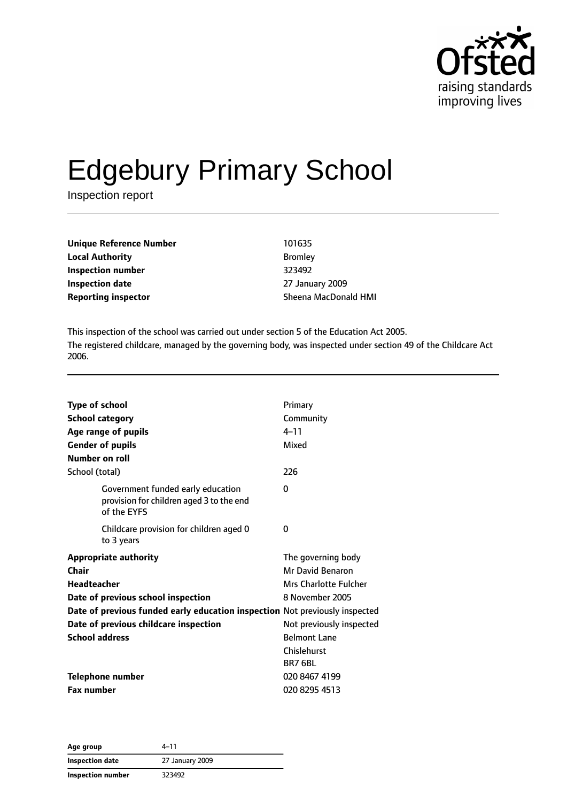

# Edgebury Primary School

Inspection report

| Unique Reference Number | 101635        |
|-------------------------|---------------|
| <b>Local Authority</b>  | <b>Bromle</b> |
| Inspection number       | 323492        |
| Inspection date         | 27 Janu       |
| Reporting inspector     | Sheena        |

**Bromley Inspection number** 323492 **Inspection date** 27 January 2009 **Sheena MacDonald HMI** 

This inspection of the school was carried out under section 5 of the Education Act 2005. The registered childcare, managed by the governing body, was inspected under section 49 of the Childcare Act 2006.

| <b>Type of school</b><br><b>School category</b><br>Age range of pupils<br><b>Gender of pupils</b><br><b>Number on roll</b> | Primary<br>Community<br>$4 - 11$<br>Mixed |
|----------------------------------------------------------------------------------------------------------------------------|-------------------------------------------|
| School (total)                                                                                                             | 226                                       |
| Government funded early education<br>provision for children aged 3 to the end<br>of the EYFS                               | 0                                         |
| Childcare provision for children aged 0<br>to 3 years                                                                      | $\Omega$                                  |
| <b>Appropriate authority</b>                                                                                               | The governing body                        |
| Chair                                                                                                                      | Mr David Benaron                          |
| Headteacher                                                                                                                | Mrs Charlotte Fulcher                     |
| Date of previous school inspection                                                                                         | 8 November 2005                           |
| Date of previous funded early education inspection Not previously inspected                                                |                                           |
| Date of previous childcare inspection                                                                                      | Not previously inspected                  |
| <b>School address</b>                                                                                                      | <b>Belmont Lane</b>                       |
|                                                                                                                            | Chislehurst                               |
|                                                                                                                            | <b>BR7 6BL</b>                            |
| Telephone number                                                                                                           | 020 8467 4199                             |
| <b>Fax number</b>                                                                                                          | 020 8295 4513                             |

**Age group** 4–11 **Inspection date** 27 January 2009 **Inspection number** 323492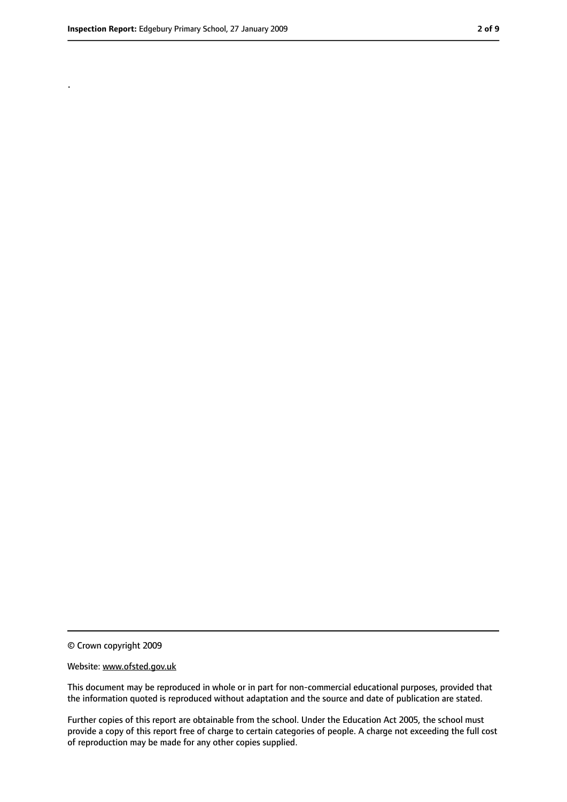.

<sup>©</sup> Crown copyright 2009

Website: www.ofsted.gov.uk

This document may be reproduced in whole or in part for non-commercial educational purposes, provided that the information quoted is reproduced without adaptation and the source and date of publication are stated.

Further copies of this report are obtainable from the school. Under the Education Act 2005, the school must provide a copy of this report free of charge to certain categories of people. A charge not exceeding the full cost of reproduction may be made for any other copies supplied.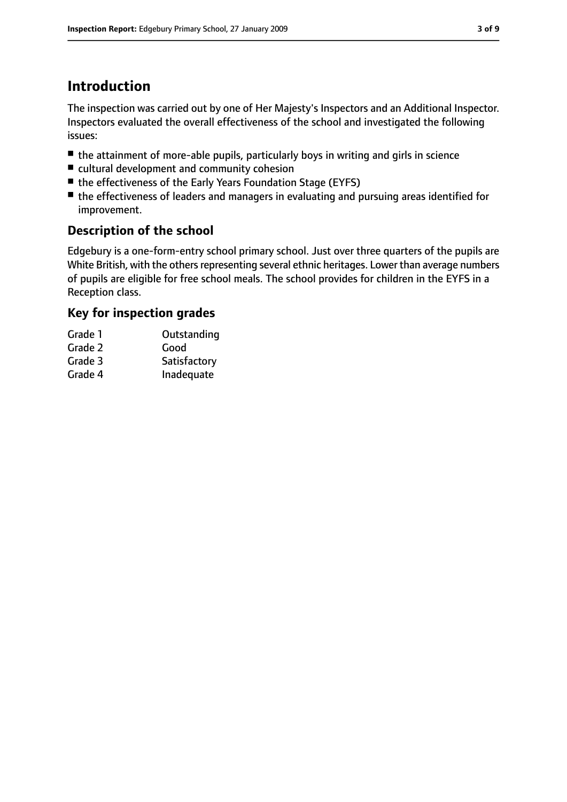## **Introduction**

The inspection was carried out by one of Her Majesty's Inspectors and an Additional Inspector. Inspectors evaluated the overall effectiveness of the school and investigated the following issues:

- the attainment of more-able pupils, particularly boys in writing and girls in science
- cultural development and community cohesion
- the effectiveness of the Early Years Foundation Stage (EYFS)
- the effectiveness of leaders and managers in evaluating and pursuing areas identified for improvement.

#### **Description of the school**

Edgebury is a one-form-entry school primary school. Just over three quarters of the pupils are White British, with the others representing several ethnic heritages. Lower than average numbers of pupils are eligible for free school meals. The school provides for children in the EYFS in a Reception class.

### **Key for inspection grades**

| Grade 1 | Outstanding  |
|---------|--------------|
| Grade 2 | Good         |
| Grade 3 | Satisfactory |

Grade 4 Inadequate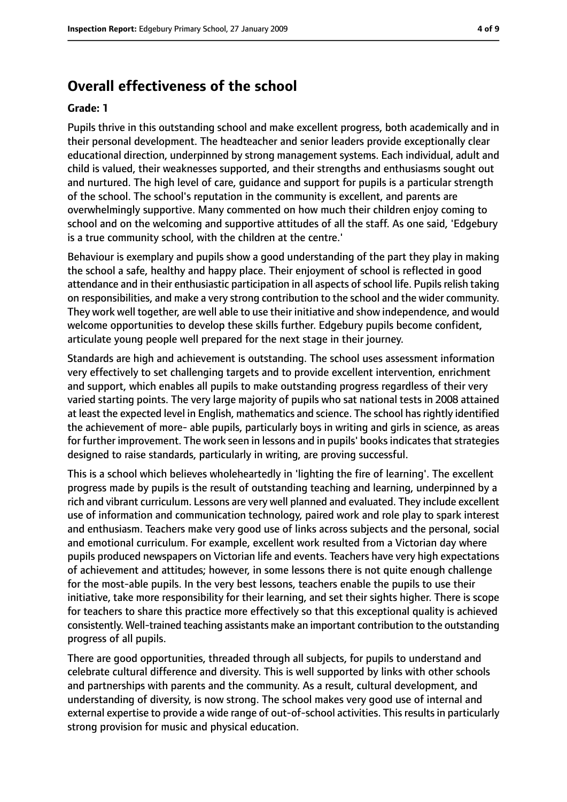### **Overall effectiveness of the school**

#### **Grade: 1**

Pupils thrive in this outstanding school and make excellent progress, both academically and in their personal development. The headteacher and senior leaders provide exceptionally clear educational direction, underpinned by strong management systems. Each individual, adult and child is valued, their weaknesses supported, and their strengths and enthusiasms sought out and nurtured. The high level of care, guidance and support for pupils is a particular strength of the school. The school's reputation in the community is excellent, and parents are overwhelmingly supportive. Many commented on how much their children enjoy coming to school and on the welcoming and supportive attitudes of all the staff. As one said, 'Edgebury is a true community school, with the children at the centre.'

Behaviour is exemplary and pupils show a good understanding of the part they play in making the school a safe, healthy and happy place. Their enjoyment of school is reflected in good attendance and in their enthusiastic participation in all aspects of school life. Pupils relish taking on responsibilities, and make a very strong contribution to the school and the wider community. They work well together, are well able to use their initiative and show independence, and would welcome opportunities to develop these skills further. Edgebury pupils become confident, articulate young people well prepared for the next stage in their journey.

Standards are high and achievement is outstanding. The school uses assessment information very effectively to set challenging targets and to provide excellent intervention, enrichment and support, which enables all pupils to make outstanding progress regardless of their very varied starting points. The very large majority of pupils who sat national tests in 2008 attained at least the expected level in English, mathematics and science. The school hasrightly identified the achievement of more- able pupils, particularly boys in writing and girls in science, as areas for further improvement. The work seen in lessons and in pupils' books indicates that strategies designed to raise standards, particularly in writing, are proving successful.

This is a school which believes wholeheartedly in 'lighting the fire of learning'. The excellent progress made by pupils is the result of outstanding teaching and learning, underpinned by a rich and vibrant curriculum. Lessons are very well planned and evaluated. They include excellent use of information and communication technology, paired work and role play to spark interest and enthusiasm. Teachers make very good use of links across subjects and the personal, social and emotional curriculum. For example, excellent work resulted from a Victorian day where pupils produced newspapers on Victorian life and events. Teachers have very high expectations of achievement and attitudes; however, in some lessons there is not quite enough challenge for the most-able pupils. In the very best lessons, teachers enable the pupils to use their initiative, take more responsibility for their learning, and set their sights higher. There is scope for teachers to share this practice more effectively so that this exceptional quality is achieved consistently. Well-trained teaching assistants make an important contribution to the outstanding progress of all pupils.

There are good opportunities, threaded through all subjects, for pupils to understand and celebrate cultural difference and diversity. This is well supported by links with other schools and partnerships with parents and the community. As a result, cultural development, and understanding of diversity, is now strong. The school makes very good use of internal and external expertise to provide a wide range of out-of-school activities. This results in particularly strong provision for music and physical education.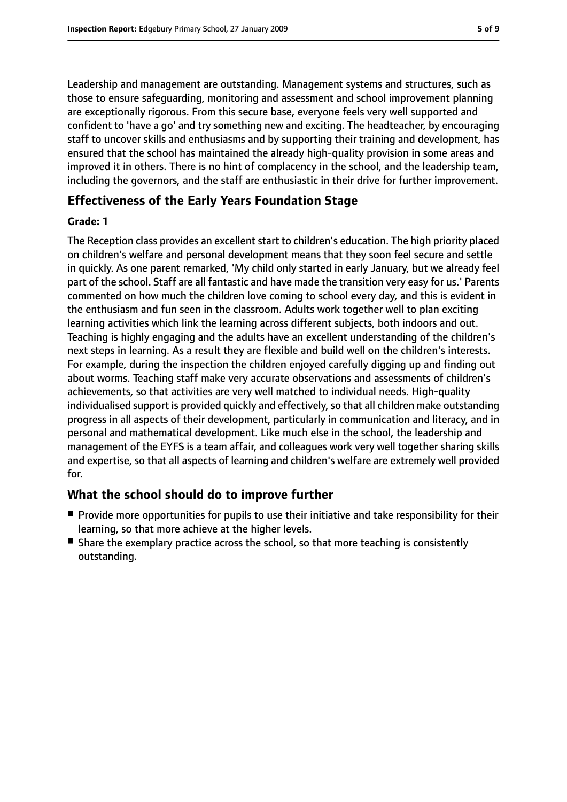Leadership and management are outstanding. Management systems and structures, such as those to ensure safeguarding, monitoring and assessment and school improvement planning are exceptionally rigorous. From this secure base, everyone feels very well supported and confident to 'have a go' and try something new and exciting. The headteacher, by encouraging staff to uncover skills and enthusiasms and by supporting their training and development, has ensured that the school has maintained the already high-quality provision in some areas and improved it in others. There is no hint of complacency in the school, and the leadership team, including the governors, and the staff are enthusiastic in their drive for further improvement.

#### **Effectiveness of the Early Years Foundation Stage**

#### **Grade: 1**

The Reception class provides an excellent start to children's education. The high priority placed on children's welfare and personal development means that they soon feel secure and settle in quickly. As one parent remarked, 'My child only started in early January, but we already feel part of the school. Staff are all fantastic and have made the transition very easy for us.' Parents commented on how much the children love coming to school every day, and this is evident in the enthusiasm and fun seen in the classroom. Adults work together well to plan exciting learning activities which link the learning across different subjects, both indoors and out. Teaching is highly engaging and the adults have an excellent understanding of the children's next steps in learning. As a result they are flexible and build well on the children's interests. For example, during the inspection the children enjoyed carefully digging up and finding out about worms. Teaching staff make very accurate observations and assessments of children's achievements, so that activities are very well matched to individual needs. High-quality individualised support is provided quickly and effectively, so that all children make outstanding progress in all aspects of their development, particularly in communication and literacy, and in personal and mathematical development. Like much else in the school, the leadership and management of the EYFS is a team affair, and colleagues work very well together sharing skills and expertise, so that all aspects of learning and children's welfare are extremely well provided for.

#### **What the school should do to improve further**

- Provide more opportunities for pupils to use their initiative and take responsibility for their learning, so that more achieve at the higher levels.
- Share the exemplary practice across the school, so that more teaching is consistently outstanding.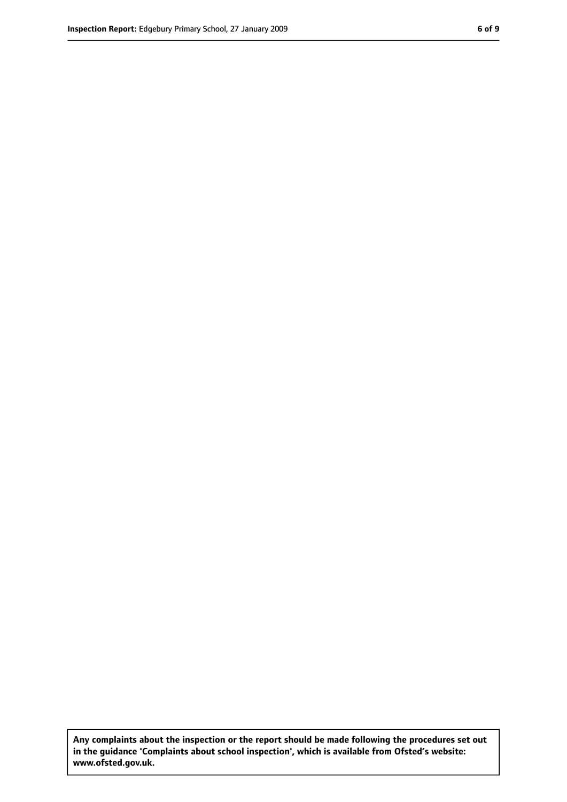**Any complaints about the inspection or the report should be made following the procedures set out in the guidance 'Complaints about school inspection', which is available from Ofsted's website: www.ofsted.gov.uk.**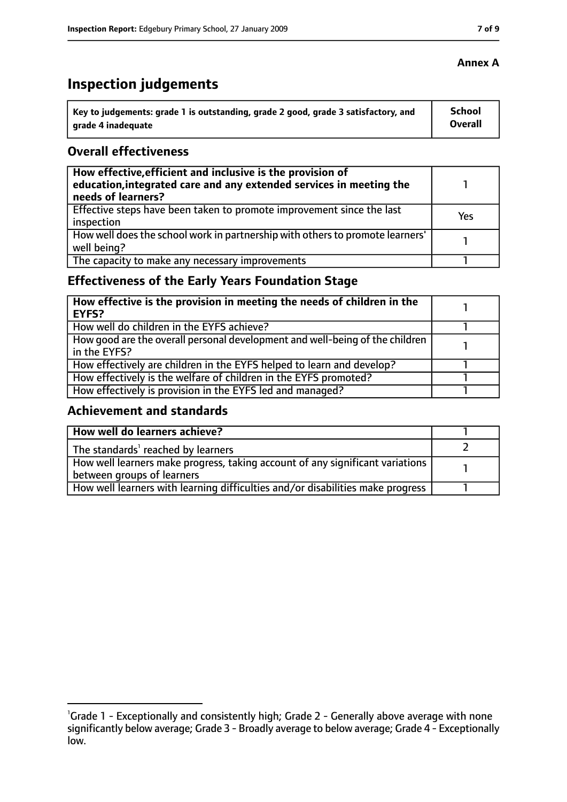# **Inspection judgements**

| ˈ Key to judgements: grade 1 is outstanding, grade 2 good, grade 3 satisfactory, and | <b>School</b>  |
|--------------------------------------------------------------------------------------|----------------|
| arade 4 inadequate                                                                   | <b>Overall</b> |

#### **Overall effectiveness**

| How effective, efficient and inclusive is the provision of<br>education, integrated care and any extended services in meeting the<br>needs of learners? |     |
|---------------------------------------------------------------------------------------------------------------------------------------------------------|-----|
| Effective steps have been taken to promote improvement since the last<br>inspection                                                                     | Yes |
| How well does the school work in partnership with others to promote learners'<br>well being?                                                            |     |
| The capacity to make any necessary improvements                                                                                                         |     |

## **Effectiveness of the Early Years Foundation Stage**

| How effective is the provision in meeting the needs of children in the<br>l EYFS?            |  |
|----------------------------------------------------------------------------------------------|--|
| How well do children in the EYFS achieve?                                                    |  |
| How good are the overall personal development and well-being of the children<br>in the EYFS? |  |
| How effectively are children in the EYFS helped to learn and develop?                        |  |
| How effectively is the welfare of children in the EYFS promoted?                             |  |
| How effectively is provision in the EYFS led and managed?                                    |  |

#### **Achievement and standards**

| How well do learners achieve?                                                  |  |
|--------------------------------------------------------------------------------|--|
| The standards <sup>1</sup> reached by learners                                 |  |
| How well learners make progress, taking account of any significant variations  |  |
| between groups of learners                                                     |  |
| How well learners with learning difficulties and/or disabilities make progress |  |

#### **Annex A**

<sup>&</sup>lt;sup>1</sup>Grade 1 - Exceptionally and consistently high; Grade 2 - Generally above average with none significantly below average; Grade 3 - Broadly average to below average; Grade 4 - Exceptionally low.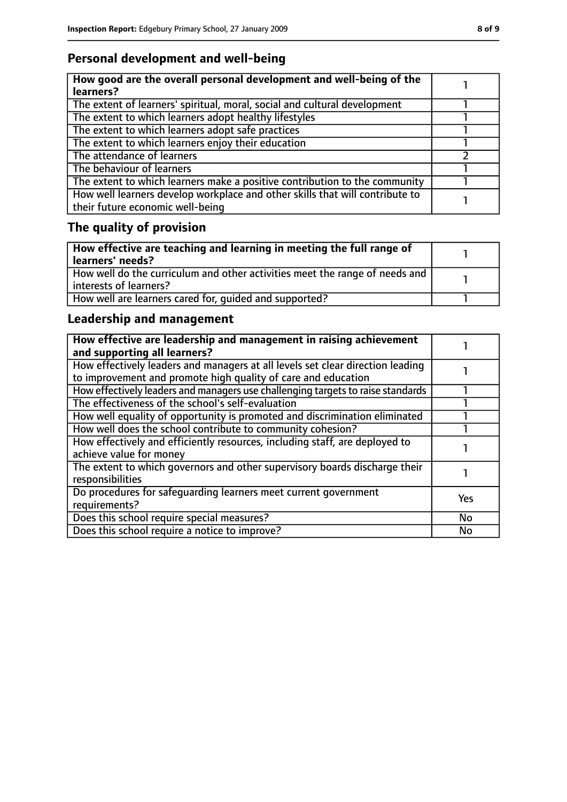## **Personal development and well-being**

| How good are the overall personal development and well-being of the<br>learners?                                 |  |
|------------------------------------------------------------------------------------------------------------------|--|
| The extent of learners' spiritual, moral, social and cultural development                                        |  |
| The extent to which learners adopt healthy lifestyles                                                            |  |
| The extent to which learners adopt safe practices                                                                |  |
| The extent to which learners enjoy their education                                                               |  |
| The attendance of learners                                                                                       |  |
| The behaviour of learners                                                                                        |  |
| The extent to which learners make a positive contribution to the community                                       |  |
| How well learners develop workplace and other skills that will contribute to<br>their future economic well-being |  |

# **The quality of provision**

| How effective are teaching and learning in meeting the full range of<br>learners' needs?              |  |
|-------------------------------------------------------------------------------------------------------|--|
| How well do the curriculum and other activities meet the range of needs and<br>interests of learners? |  |
| How well are learners cared for, quided and supported?                                                |  |

## **Leadership and management**

| How effective are leadership and management in raising achievement<br>and supporting all learners?                                              |     |
|-------------------------------------------------------------------------------------------------------------------------------------------------|-----|
| How effectively leaders and managers at all levels set clear direction leading<br>to improvement and promote high quality of care and education |     |
| How effectively leaders and managers use challenging targets to raise standards                                                                 |     |
| The effectiveness of the school's self-evaluation                                                                                               |     |
| How well equality of opportunity is promoted and discrimination eliminated                                                                      |     |
| How well does the school contribute to community cohesion?                                                                                      |     |
| How effectively and efficiently resources, including staff, are deployed to<br>achieve value for money                                          |     |
| The extent to which governors and other supervisory boards discharge their<br>responsibilities                                                  |     |
| Do procedures for safequarding learners meet current government<br>requirements?                                                                | Yes |
| Does this school require special measures?                                                                                                      | No  |
| Does this school require a notice to improve?                                                                                                   | No  |